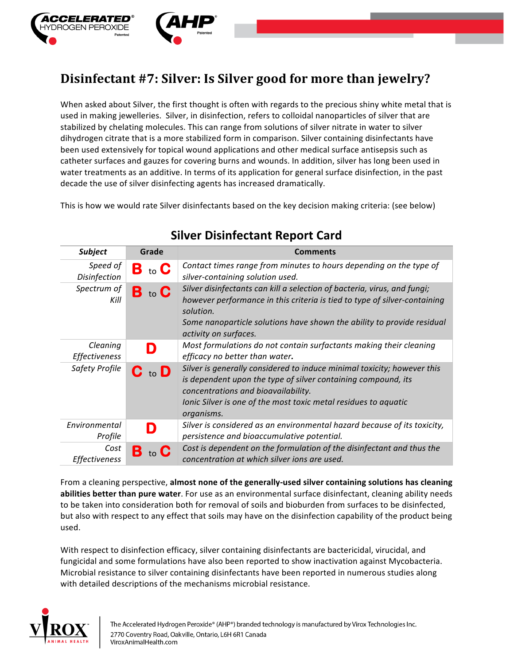

## **Disinfectant #7: Silver: Is Silver good for more than jewelry?**

When asked about Silver, the first thought is often with regards to the precious shiny white metal that is used in making jewelleries. Silver, in disinfection, refers to colloidal nanoparticles of silver that are stabilized by chelating molecules. This can range from solutions of silver nitrate in water to silver dihydrogen citrate that is a more stabilized form in comparison. Silver containing disinfectants have been used extensively for topical wound applications and other medical surface antisepsis such as catheter surfaces and gauzes for covering burns and wounds. In addition, silver has long been used in water treatments as an additive. In terms of its application for general surface disinfection, in the past decade the use of silver disinfecting agents has increased dramatically.

This is how we would rate Silver disinfectants based on the key decision making criteria: (see below)

| <b>Subject</b>               | Grade                      | <b>Comments</b>                                                                                                                                                                                                                                                       |
|------------------------------|----------------------------|-----------------------------------------------------------------------------------------------------------------------------------------------------------------------------------------------------------------------------------------------------------------------|
| Speed of<br>Disinfection     | <b>B</b> to C              | Contact times range from minutes to hours depending on the type of<br>silver-containing solution used.                                                                                                                                                                |
| Spectrum of<br>Kill          | B to C                     | Silver disinfectants can kill a selection of bacteria, virus, and fungi;<br>however performance in this criteria is tied to type of silver-containing<br>solution.<br>Some nanoparticle solutions have shown the ability to provide residual<br>activity on surfaces. |
| Cleaning<br>Effectiveness    |                            | Most formulations do not contain surfactants making their cleaning<br>efficacy no better than water.                                                                                                                                                                  |
| Safety Profile               | $\mathbf C$ to $\mathbf D$ | Silver is generally considered to induce minimal toxicity; however this<br>is dependent upon the type of silver containing compound, its<br>concentrations and bioavailability.<br>Ionic Silver is one of the most toxic metal residues to aquatic<br>organisms.      |
| Environmental<br>Profile     |                            | Silver is considered as an environmental hazard because of its toxicity,<br>persistence and bioaccumulative potential.                                                                                                                                                |
| Cost<br><b>Effectiveness</b> | $\mathbf B$ to $\mathbf C$ | Cost is dependent on the formulation of the disinfectant and thus the<br>concentration at which silver ions are used.                                                                                                                                                 |

## **Silver Disinfectant Report Card**

From a cleaning perspective, almost none of the generally-used silver containing solutions has cleaning **abilities better than pure water**. For use as an environmental surface disinfectant, cleaning ability needs to be taken into consideration both for removal of soils and bioburden from surfaces to be disinfected, but also with respect to any effect that soils may have on the disinfection capability of the product being used. 

With respect to disinfection efficacy, silver containing disinfectants are bactericidal, virucidal, and fungicidal and some formulations have also been reported to show inactivation against Mycobacteria. Microbial resistance to silver containing disinfectants have been reported in numerous studies along with detailed descriptions of the mechanisms microbial resistance.